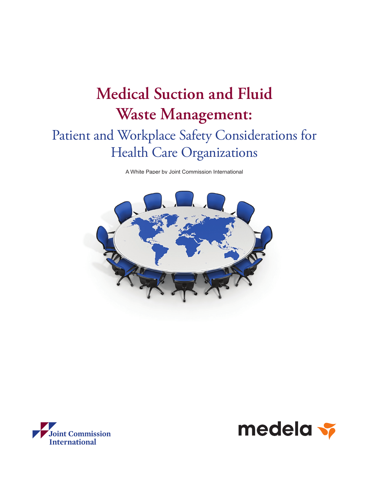# **Medical Suction and Fluid Waste Management:** Patient and Workplace Safety Considerations for Health Care Organizations

A White Paper by Joint Commission International





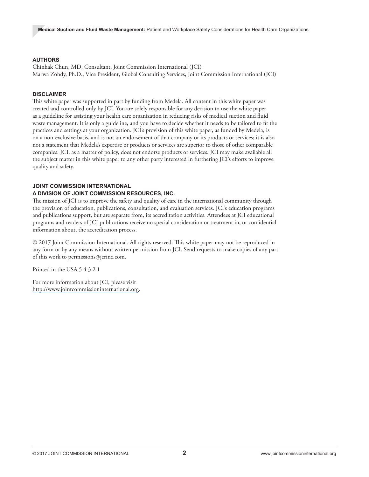#### **AUTHORS**

Chinhak Chun, MD, Consultant, Joint Commission International (JCI) Marwa Zohdy, Ph.D., Vice President, Global Consulting Services, Joint Commission International (JCI)

#### **DISCLAIMER**

This white paper was supported in part by funding from Medela. All content in this white paper was created and controlled only by JCI. You are solely responsible for any decision to use the white paper as a guideline for assisting your health care organization in reducing risks of medical suction and fluid waste management. It is only a guideline, and you have to decide whether it needs to be tailored to fit the practices and settings at your organization. JCI's provision of this white paper, as funded by Medela, is on a non-exclusive basis, and is not an endorsement of that company or its products or services; it is also not a statement that Medela's expertise or products or services are superior to those of other comparable companies. JCI, as a matter of policy, does not endorse products or services. JCI may make available all the subject matter in this white paper to any other party interested in furthering JCI's efforts to improve quality and safety.

#### **JOINT COMMISSION INTERNATIONAL**

#### **A DIVISION OF JOINT COMMISSION RESOURCES, INC.**

The mission of JCI is to improve the safety and quality of care in the international community through the provision of education, publications, consultation, and evaluation services. JCI's education programs and publications support, but are separate from, its accreditation activities. Attendees at JCI educational programs and readers of JCI publications receive no special consideration or treatment in, or confidential information about, the accreditation process.

© 2017 Joint Commission International. All rights reserved. This white paper may not be reproduced in any form or by any means without written permission from JCI. Send requests to make copies of any part of this work to permissions@jcrinc.com.

Printed in the USA 5 4 3 2 1

For more information about JCI, please visit <http://www.jointcommissioninternational.org>.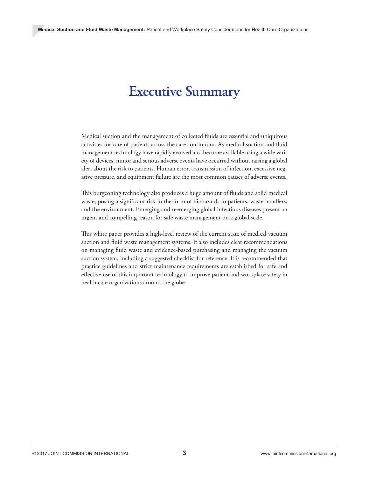# **Executive Summary**

Medical suction and the management of collected fluids are essential and ubiquitous activities for care of patients across the care continuum. As medical suction and fluid management technology have rapidly evolved and become available using a wide variety of devices, minor and serious adverse events have occurred without raising a global alert about the risk to patients. Human error, transmission of infection, excessive negative pressure, and equipment failure are the most common causes of adverse events.

This burgeoning technology also produces a huge amount of fluids and solid medical waste, posing a significant risk in the form of biohazards to patients, waste handlers, and the environment. Emerging and reemerging global infectious diseases present an urgent and compelling reason for safe waste management on a global scale.

This white paper provides a high-level review of the current state of medical vacuum suction and fluid waste management systems. It also includes clear recommendations on managing fluid waste and evidence-based purchasing and managing the vacuum suction system, including a suggested checklist for reference. It is recommended that practice guidelines and strict maintenance requirements are established for safe and effective use of this important technology to improve patient and workplace safety in health care organizations around the globe.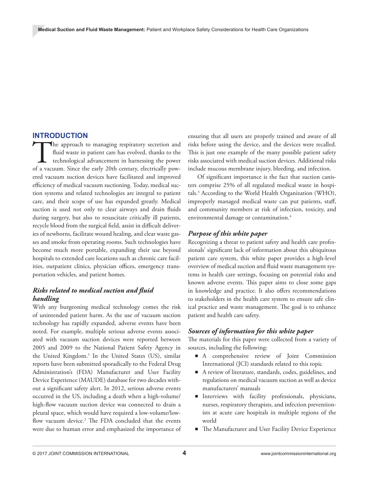#### **INTRODUCTION**

The approach to managing respiratory secretion and fluid waste in patient care has evolved, thanks to the technological advancement in harnessing the power of a vacuum. Since the early 20th century, electrically powfluid waste in patient care has evolved, thanks to the technological advancement in harnessing the power ered vacuum suction devices have facilitated and improved efficiency of medical vacuum suctioning. Today, medical suction systems and related technologies are integral to patient care, and their scope of use has expanded greatly. Medical suction is used not only to clear airways and drain fluids during surgery, but also to resuscitate critically ill patients, recycle blood from the surgical field, assist in difficult deliveries of newborns, facilitate wound healing, and clear waste gasses and smoke from operating rooms. Such technologies have become much more portable, expanding their use beyond hospitals to extended care locations such as chronic care facilities, outpatient clinics, physician offices, emergency transportation vehicles, and patient homes.

# *Risks related to medical suction and fluid handling*

With any burgeoning medical technology comes the risk of unintended patient harm. As the use of vacuum suction technology has rapidly expanded, adverse events have been noted. For example, multiple serious adverse events associated with vacuum suction devices were reported between 2005 and 2009 to the National Patient Safety Agency in the United Kingdom.<sup>1</sup> In the United States (US), similar reports have been submitted sporadically to the Federal Drug Administration's (FDA) Manufacturer and User Facility Device Experience (MAUDE) database for two decades without a significant safety alert. In 2012, serious adverse events occurred in the US, including a death when a high-volume/ high-flow vacuum suction device was connected to drain a pleural space, which would have required a low-volume/lowflow vacuum device.<sup>2</sup> The FDA concluded that the events were due to human error and emphasized the importance of

ensuring that all users are properly trained and aware of all risks before using the device, and the devices were recalled. This is just one example of the many possible patient safety risks associated with medical suction devices. Additional risks include mucous membrane injury, bleeding, and infection.

 Of significant importance is the fact that suction canisters comprise 25% of all regulated medical waste in hospitals.3 According to the World Health Organization (WHO), improperly managed medical waste can put patients, staff, and community members at risk of infection, toxicity, and environmental damage or contamination.<sup>4</sup>

#### *Purpose of this white paper*

Recognizing a threat to patient safety and health care professionals' significant lack of information about this ubiquitous patient care system, this white paper provides a high-level overview of medical suction and fluid waste management systems in health care settings, focusing on potential risks and known adverse events. This paper aims to close some gaps in knowledge and practice. It also offers recommendations to stakeholders in the health care system to ensure safe clinical practice and waste management. The goal is to enhance patient and health care safety.

#### *Sources of information for this white paper*

The materials for this paper were collected from a variety of sources, including the following:

- A comprehensive review of Joint Commission International (JCI) standards related to this topic
- A review of literature, standards, codes, guidelines, and regulations on medical vacuum suction as well as device manufacturers' manuals
- Interviews with facility professionals, physicians, nurses, respiratory therapists, and infection preventionists at acute care hospitals in multiple regions of the world
- The Manufacturer and User Facility Device Experience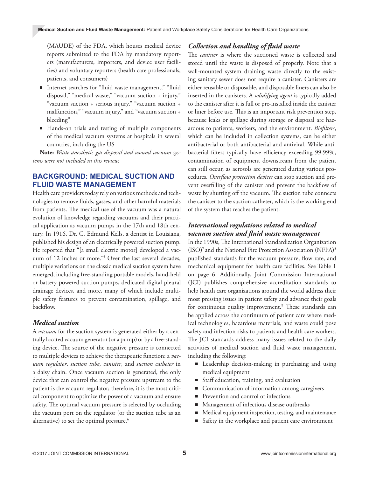(MAUDE) of the FDA, which houses medical device reports submitted to the FDA by mandatory reporters (manufacturers, importers, and device user facilities) and voluntary reporters (health care professionals, patients, and consumers)

- Internet searches for "fluid waste management," "fluid disposal," "medical waste," "vacuum suction + injury," "vacuum suction + serious injury," "vacuum suction + malfunction," "vacuum injury," and "vacuum suction + bleeding"
- Hands-on trials and testing of multiple components of the medical vacuum systems at hospitals in several countries, including the US

**Note:** *Waste anesthetic gas disposal and wound vacuum systems were not included in this review.*

#### **BACKGROUND: MEDICAL SUCTION AND FLUID WASTE MANAGEMENT**

Health care providers today rely on various methods and technologies to remove fluids, gasses, and other harmful materials from patients. The medical use of the vacuum was a natural evolution of knowledge regarding vacuums and their practical application as vacuum pumps in the 17th and 18th century. In 1916, Dr. C. Edmund Kells, a dentist in Louisiana, published his design of an electrically powered suction pump. He reported that "[a small electric motor] developed a vacuum of 12 inches or more."5 Over the last several decades, multiple variations on the classic medical suction system have emerged, including free-standing portable models, hand-held or battery-powered suction pumps, dedicated digital pleural drainage devices, and more, many of which include multiple safety features to prevent contamination, spillage, and backflow.

#### *Medical suction*

A *vacuum* for the suction system is generated either by a centrally located vacuum generator (or a pump) or by a free-standing device. The source of the negative pressure is connected to multiple devices to achieve the therapeutic function: a *vacuum regulator*, *suction tube*, *canister*, and *suction catheter* in a daisy chain. Once vacuum suction is generated, the only device that can control the negative pressure upstream to the patient is the vacuum regulator; therefore, it is the most critical component to optimize the power of a vacuum and ensure safety. The optimal vacuum pressure is selected by occluding the vacuum port on the regulator (or the suction tube as an alternative) to set the optimal pressure.<sup>6</sup>

#### *Collection and handling of fluid waste*

The *canister* is where the suctioned waste is collected and stored until the waste is disposed of properly. Note that a wall-mounted system draining waste directly to the existing sanitary sewer does not require a canister. Canisters are either reusable or disposable, and disposable liners can also be inserted in the canisters. A *solidifying agent* is typically added to the canister after it is full or pre-installed inside the canister or liner before use. This is an important risk prevention step, because leaks or spillage during storage or disposal are hazardous to patients, workers, and the environment. *Biofilters*, which can be included in collection systems, can be either antibacterial or both antibacterial and antiviral. While antibacterial filters typically have efficiency exceeding 99.99%, contamination of equipment downstream from the patient can still occur, as aerosols are generated during various procedures. *Overflow protection devices* can stop suction and prevent overfilling of the canister and prevent the backflow of waste by shutting off the vacuum. The suction tube connects the canister to the suction catheter, which is the working end of the system that reaches the patient.

#### *International regulations related to medical vacuum suction and fluid waste management*

In the 1990s, The International Standardization Organization  $(ISO)<sup>7</sup>$  and the National Fire Protection Association (NFPA)<sup>8</sup> published standards for the vacuum pressure, flow rate, and mechanical equipment for health care facilities. See Table 1 on page 6. Additionally, Joint Commission International (JCI) publishes comprehensive accreditation standards to help health care organizations around the world address their most pressing issues in patient safety and advance their goals for continuous quality improvement.<sup>9</sup> These standards can be applied across the continuum of patient care where medical technologies, hazardous materials, and waste could pose safety and infection risks to patients and health care workers. The JCI standards address many issues related to the daily activities of medical suction and fluid waste management, including the following:

- Leadership decision-making in purchasing and using medical equipment
- Staff education, training, and evaluation
- Communication of information among caregivers
- Prevention and control of infections
- Management of infectious disease outbreaks
- Medical equipment inspection, testing, and maintenance
- Safety in the workplace and patient care environment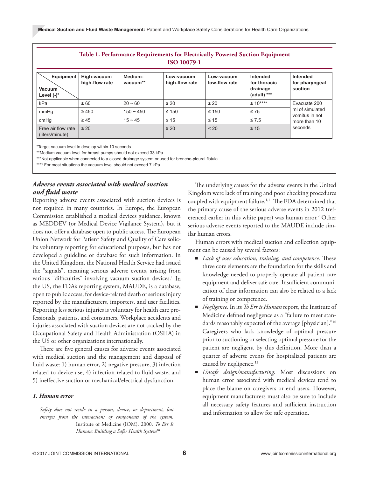| Table 1. Performance Requirements for Electrically Powered Suction Equipment<br>ISO 10079-1 |                               |                     |                              |                             |                                                     |                                                                              |  |  |
|---------------------------------------------------------------------------------------------|-------------------------------|---------------------|------------------------------|-----------------------------|-----------------------------------------------------|------------------------------------------------------------------------------|--|--|
| Equipment<br>Vacuum<br>Level $(-)^*$                                                        | High-vacuum<br>high-flow rate | Medium-<br>vacuum** | Low-vacuum<br>high-flow rate | Low-vacuum<br>low-flow rate | Intended<br>for thoracic<br>drainage<br>(adult) *** | Intended<br>for pharyngeal<br>suction                                        |  |  |
| kPa                                                                                         | $\geq 60$                     | $20 - 60$           | $\leq 20$                    | $\leq 20$                   | $\leq 10***$                                        | Evacuate 200<br>ml of simulated<br>vomitus in not<br>more than 10<br>seconds |  |  |
| mmHq                                                                                        | $\geq 450$                    | $150 - 450$         | $\leq 150$                   | $\leq 150$                  | $\leq 75$                                           |                                                                              |  |  |
| cmHq                                                                                        | $\geq 45$                     | $15 \sim 45$        | $\leq 15$                    | $\leq 15$                   | $\leq 7.5$                                          |                                                                              |  |  |
| Free air flow rate<br>(liters/minute)                                                       | $\geq 20$                     |                     | $\geq 20$                    | < 20                        | $\geq 15$                                           |                                                                              |  |  |

Target vacuum level to develop within 10 seconds

\*\*Medium vacuum level for breast pumps should not exceed 33 kPa

\*\*\*Not applicable when connected to a closed drainage system or used for broncho-pleural fistula

\*\*\*\* For most situations the vacuum level should not exceed 7 kPa

#### *Adverse events associated with medical suction and fluid waste*

Reporting adverse events associated with suction devices is not required in many countries. In Europe, the European Commission established a medical devices guidance, known as MEDDEV (or Medical Device Vigilance System), but it does not offer a database open to public access. The European Union Network for Patient Safety and Quality of Care solicits voluntary reporting for educational purposes, but has not developed a guideline or database for such information. In the United Kingdom, the National Health Service had issued the "signals", meaning serious adverse events, arising from various "difficulties" involving vacuum suction devices.<sup>1</sup> In the US, the FDA's reporting system, MAUDE, is a database, open to public access, for device-related death or serious injury reported by the manufacturers, importers, and user facilities. Reporting less serious injuries is voluntary for health care professionals, patients, and consumers. Workplace accidents and injuries associated with suction devices are not tracked by the Occupational Safety and Health Administration (OSHA) in the US or other organizations internationally.

There are five general causes for adverse events associated with medical suction and the management and disposal of fluid waste: 1) human error, 2) negative pressure, 3) infection related to device use, 4) infection related to fluid waste, and 5) ineffective suction or mechanical/electrical dysfunction.

#### *1. Human error*

*Safety does not reside in a person, device, or department, but emerges from the interactions of components of the system.* Institute of Medicine (IOM). 2000. *To Err Is Human: Building a Safer Health System*<sup>10</sup>

The underlying causes for the adverse events in the United Kingdom were lack of training and poor checking procedures coupled with equipment failure.<sup>1,11</sup> The FDA determined that the primary cause of the serious adverse events in 2012 (referenced earlier in this white paper) was human error.<sup>2</sup> Other serious adverse events reported to the MAUDE include similar human errors.

Human errors with medical suction and collection equipment can be caused by several factors:

- *Lack of user education, training, and competence.* These three core elements are the foundation for the skills and knowledge needed to properly operate all patient care equipment and deliver safe care. Insufficient communication of clear information can also be related to a lack of training or competence.
- *Negligence*. In its *To Err is Human* report, the Institute of Medicine defined negligence as a "failure to meet standards reasonably expected of the average [physician]."10 Caregivers who lack knowledge of optimal pressure prior to suctioning or selecting optimal pressure for the patient are negligent by this definition. More than a quarter of adverse events for hospitalized patients are caused by negligence.<sup>12</sup>
- *Unsafe design/manufacturing*. Most discussions on human error associated with medical devices tend to place the blame on caregivers or end users. However, equipment manufacturers must also be sure to include all necessary safety features and sufficient instruction and information to allow for safe operation.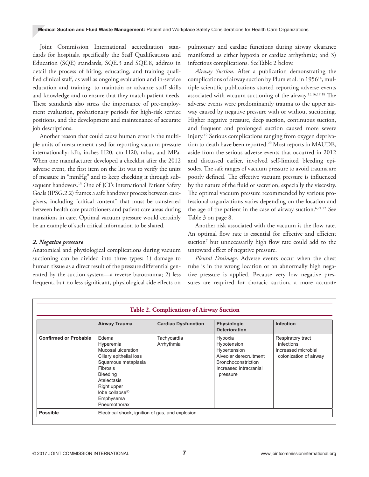Joint Commission International accreditation standards for hospitals, specifically the Staff Qualifications and Education (SQE) standards, SQE.3 and SQE.8, address in detail the process of hiring, educating, and training qualified clinical staff, as well as ongoing evaluation and in-service education and training, to maintain or advance staff skills and knowledge and to ensure that they match patient needs. These standards also stress the importance of pre-employment evaluation, probationary periods for high-risk service positions, and the development and maintenance of accurate job descriptions.

Another reason that could cause human error is the multiple units of measurement used for reporting vacuum pressure internationally: kPa, inches H20, cm H20, mbar, and MPa. When one manufacturer developed a checklist after the 2012 adverse event, the first item on the list was to verify the units of measure in "mmHg" and to keep checking it through subsequent handovers.<sup>13</sup> One of JCI's International Patient Safety Goals (IPSG.2.2) frames a safe handover process between caregivers, including "critical content" that must be transferred between health care practitioners and patient care areas during transitions in care. Optimal vacuum pressure would certainly be an example of such critical information to be shared.

#### *2. Negative pressure*

Anatomical and physiological complications during vacuum suctioning can be divided into three types: 1) damage to human tissue as a direct result of the pressure differential generated by the suction system—a reverse barotrauma; 2) less frequent, but no less significant, physiological side effects on

pulmonary and cardiac functions during airway clearance manifested as either hypoxia or cardiac arrhythmia; and 3) infectious complications. SeeTable 2 below.

*Airway Suction.* After a publication demonstrating the complications of airway suction by Plum et al. in 1956<sup>14</sup>, multiple scientific publications started reporting adverse events associated with vacuum suctioning of the airway.15,16,17,18 The adverse events were predominantly trauma to the upper airway caused by negative pressure with or without suctioning. Higher negative pressure, deep suction, continuous suction, and frequent and prolonged suction caused more severe injury.19 Serious complications ranging from oxygen deprivation to death have been reported.<sup>20</sup> Most reports in MAUDE, aside from the serious adverse events that occurred in 2012 and discussed earlier, involved self-limited bleeding episodes. The safe ranges of vacuum pressure to avoid trauma are poorly defined. The effective vacuum pressure is influenced by the nature of the fluid or secretion, especially the viscosity. The optimal vacuum pressure recommended by various professional organizations varies depending on the location and the age of the patient in the case of airway suction.<sup>6,21,22</sup> See Table 3 on page 8.

Another risk associated with the vacuum is the flow rate. An optimal flow rate is essential for effective and efficient suction<sup>7</sup> but unnecessarily high flow rate could add to the untoward effect of negative pressure.

*Pleural Drainage*. Adverse events occur when the chest tube is in the wrong location or an abnormally high negative pressure is applied. Because very low negative pressures are required for thoracic suction, a more accurate

|                              | Airway Trauma                                                                                                                                                                                                | <b>Cardiac Dysfunction</b> | <b>Physiologic</b><br><b>Deterioration</b>                                                                                           | <b>Infection</b>                                                                 |  |  |  |
|------------------------------|--------------------------------------------------------------------------------------------------------------------------------------------------------------------------------------------------------------|----------------------------|--------------------------------------------------------------------------------------------------------------------------------------|----------------------------------------------------------------------------------|--|--|--|
| <b>Confirmed or Probable</b> | Edema<br>Hyperemia<br>Mucosal ulceration<br>Ciliary epithelial loss<br>Squamous metaplasia<br>Fibrosis<br>Bleeding<br>Atelectasis<br>Right upper<br>lobe collapse <sup>50</sup><br>Emphysema<br>Pneumothorax | Tachycardia<br>Arrhythmia  | Hypoxia<br>Hypotension<br>Hypertension<br>Alveolar derecruitment<br><b>Bronchoconstriction</b><br>Increased intracranial<br>pressure | Respiratory tract<br>infections<br>Increased microbial<br>colonization of airway |  |  |  |
| <b>Possible</b>              | Electrical shock, ignition of gas, and explosion                                                                                                                                                             |                            |                                                                                                                                      |                                                                                  |  |  |  |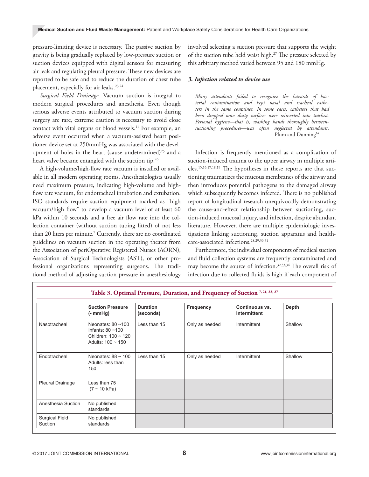pressure-limiting device is necessary. The passive suction by gravity is being gradually replaced by low-pressure suction or suction devices equipped with digital sensors for measuring air leak and regulating pleural pressure. These new devices are reported to be safe and to reduce the duration of chest tube placement, especially for air leaks.<sup>23,24</sup>

*Surgical Field Drainage.* Vacuum suction is integral to modern surgical procedures and anesthesia. Even though serious adverse events attributed to vacuum suction during surgery are rare, extreme caution is necessary to avoid close contact with vital organs or blood vessels.<sup>11</sup> For example, an adverse event occurred when a vacuum-assisted heart positioner device set at 250mmHg was associated with the development of holes in the heart (cause undetermined)<sup>25</sup> and a heart valve became entangled with the suction tip.<sup>26</sup>

A high-volume/high-flow rate vacuum is installed or available in all modern operating rooms. Anesthesiologists usually need maximum pressure, indicating high-volume and highflow rate vacuum, for endotracheal intubation and extubation. ISO standards require suction equipment marked as "high vacuum/high flow" to develop a vacuum level of at least 60 kPa within 10 seconds and a free air flow rate into the collection container (without suction tubing fitted) of not less than 20 liters per minute.7 Currently, there are no coordinated guidelines on vacuum suction in the operating theater from the Association of periOperative Registered Nurses (AORN), Association of Surgical Technologists (AST), or other professional organizations representing surgeons. The traditional method of adjusting suction pressure in anesthesiology

involved selecting a suction pressure that supports the weight of the suction tube held waist high.27 The pressure selected by this arbitrary method varied between 95 and 180 mmHg.

#### *3. Infection related to device use*

*Many attendants failed to recognize the hazards of bacterial contamination and kept nasal and tracheal catheters in the same container. In some cases, catheters that had been dropped onto dusty surfaces were reinserted into trachea. Personal hygiene—that is, washing hands thoroughly betweensuctioning procedures—was often neglected by attendants*. Plum and Dunning<sup>14</sup>

Infection is frequently mentioned as a complication of suction-induced trauma to the upper airway in multiple articles.15,16,17,18,19 The hypotheses in these reports are that suctioning traumatizes the mucous membranes of the airway and then introduces potential pathogens to the damaged airway which subsequently becomes infected. There is no published report of longitudinal research unequivocally demonstrating the cause-and-effect relationship between suctioning, suction-induced mucosal injury, and infection, despite abundant literature. However, there are multiple epidemiologic investigations linking suctioning, suction apparatus and healthcare-associated infections.28,29,30,31

Furthermore, the individual components of medical suction and fluid collection systems are frequently contaminated and may become the source of infection.32,33,34 The overall risk of infection due to collected fluids is high if each component of

| Table 3. Optimal Pressure, Duration, and Frequency of Suction <sup>7,21,22,27</sup> |                                                                                                      |                              |                |                                |         |  |  |
|-------------------------------------------------------------------------------------|------------------------------------------------------------------------------------------------------|------------------------------|----------------|--------------------------------|---------|--|--|
|                                                                                     | <b>Suction Pressure</b><br>$(-m m Hg)$                                                               | <b>Duration</b><br>(seconds) | Frequency      | Continuous vs.<br>Intermittent | Depth   |  |  |
| Nasotracheal                                                                        | Neonates: $80 - 100$<br>Infants: $80 \sim 100$<br>Children: $100 \sim 120$<br>Adults: $100 \sim 150$ | Less than 15                 | Only as needed | Intermittent                   | Shallow |  |  |
| Endotracheal                                                                        | Neonates: $88 \approx 100$<br>Adults: less than<br>150                                               | Less than 15                 | Only as needed | Intermittent                   | Shallow |  |  |
| <b>Pleural Drainage</b>                                                             | Less than 75<br>$(7 \sim 10 \text{ kPa})$                                                            |                              |                |                                |         |  |  |
| Anesthesia Suction                                                                  | No published<br>standards                                                                            |                              |                |                                |         |  |  |
| <b>Surgical Field</b><br>Suction                                                    | No published<br>standards                                                                            |                              |                |                                |         |  |  |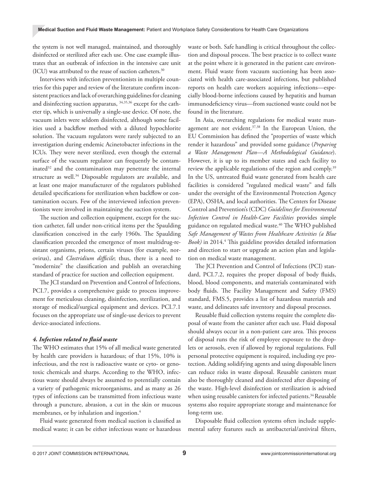the system is not well managed, maintained, and thoroughly disinfected or sterilized after each use. One case example illustrates that an outbreak of infection in the intensive care unit (ICU) was attributed to the reuse of suction catheters.30

Interviews with infection preventionists in multiple countries for this paper and review of the literature confirm inconsistent practices and lack of overarching guidelines for cleaning and disinfecting suction apparatus, 34,35,36 except for the catheter tip, which is universally a single-use device. Of note, the vacuum inlets were seldom disinfected, although some facilities used a backflow method with a diluted hypochlorite solution. The vacuum regulators were rarely subjected to an investigation during endemic Acinetobacter infections in the ICUs. They were never sterilized, even though the external surface of the vacuum regulator can frequently be contaminated<sup>32</sup> and the contamination may penetrate the internal structure as well.<sup>34</sup> Disposable regulators are available, and at least one major manufacturer of the regulators published detailed specifications for sterilization when backflow or contamination occurs. Few of the interviewed infection preventionists were involved in maintaining the suction system.

The suction and collection equipment, except for the suction catheter, fall under non-critical items per the Spaulding classification conceived in the early 1960s. The Spaulding classification preceded the emergence of most multidrug-resistant organisms, prions, certain viruses (for example, norovirus), and *Clostridium difficile*; thus, there is a need to "modernize" the classification and publish an overarching standard of practice for suction and collection equipment.

The JCI standard on Prevention and Control of Infections, PCI.7, provides a comprehensive guide to process improvement for meticulous cleaning, disinfection, sterilization, and storage of medical/surgical equipment and devices. PCI.7.1 focuses on the appropriate use of single-use devices to prevent device-associated infections.

#### *4. Infection related to fluid waste*

The WHO estimates that 15% of all medical waste generated by health care providers is hazardous; of that 15%, 10% is infectious, and the rest is radioactive waste or cyto- or genotoxic chemicals and sharps. According to the WHO, infectious waste should always be assumed to potentially contain a variety of pathogenic microorganisms, and as many as 26 types of infections can be transmitted from infectious waste through a puncture, abrasion, a cut in the skin or mucous membranes, or by inhalation and ingestion.<sup>4</sup>

Fluid waste generated from medical suction is classified as medical waste; it can be either infectious waste or hazardous waste or both. Safe handling is critical throughout the collection and disposal process. The best practice is to collect waste at the point where it is generated in the patient care environment. Fluid waste from vacuum suctioning has been associated with health care-associated infections, but published reports on health care workers acquiring infections—especially blood-borne infections caused by hepatitis and human immunodeficiency virus—from suctioned waste could not be found in the literature.

In Asia, overarching regulations for medical waste management are not evident.<sup>37,38</sup> In the European Union, the EU Commission has defined the "properties of waste which render it hazardous" and provided some guidance (*Preparing a Waste Management Plan—A Methodological Guidance*). However, it is up to its member states and each facility to review the applicable regulations of the region and comply.<sup>39</sup> In the US, untreated fluid waste generated from health care facilities is considered "regulated medical waste" and falls under the oversight of the Environmental Protection Agency (EPA), OSHA, and local authorities. The Centers for Disease Control and Prevention's (CDC) *Guidelines for Environmental Infection Control in Health-Care Facilities* provides simple guidance on regulated medical waste.<sup>40</sup> The WHO published *Safe Management of Wastes from Healthcare Activities (a Blue*  Book) in 2014.<sup>4</sup> This guideline provides detailed information and direction to start or upgrade an action plan and legislation on medical waste management.

The JCI Prevention and Control of Infections (PCI) standard, PCI.7.2, requires the proper disposal of body fluids, blood, blood components, and materials contaminated with body fluids. The Facility Management and Safety (FMS) standard, FMS.5, provides a list of hazardous materials and waste, and delineates safe inventory and disposal processes.

Reusable fluid collection systems require the complete disposal of waste from the canister after each use. Fluid disposal should always occur in a non-patient care area. This process of disposal runs the risk of employee exposure to the droplets or aerosols, even if allowed by regional regulations. Full personal protective equipment is required, including eye protection. Adding solidifying agents and using disposable liners can reduce risks in waste disposal. Reusable canisters must also be thoroughly cleaned and disinfected after disposing of the waste. High-level disinfection or sterilization is advised when using reusable canisters for infected patients.<sup>34</sup> Reusable systems also require appropriate storage and maintenance for long-term use.

Disposable fluid collection systems often include supplemental safety features such as antibacterial/antiviral filters,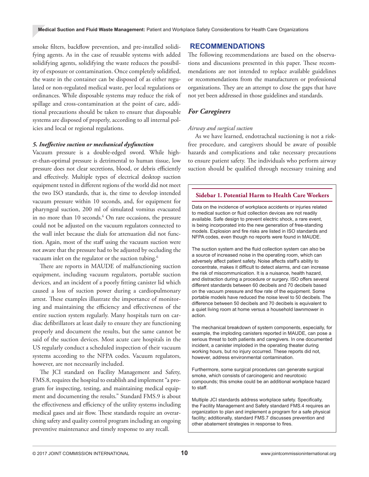smoke filters, backflow prevention, and pre-installed solidifying agents. As in the case of reusable systems with added solidifying agents, solidifying the waste reduces the possibility of exposure or contamination. Once completely solidified, the waste in the container can be disposed of as either regulated or non-regulated medical waste, per local regulations or ordinances. While disposable systems may reduce the risk of spillage and cross-contamination at the point of care, additional precautions should be taken to ensure that disposable systems are disposed of properly, according to all internal policies and local or regional regulations.

#### *5. Ineffective suction or mechanical dysfunction*

Vacuum pressure is a double-edged sword. While higher-than-optimal pressure is detrimental to human tissue, low pressure does not clear secretions, blood, or debris efficiently and effectively. Multiple types of electrical desktop suction equipment tested in different regions of the world did not meet the two ISO standards, that is, the time to develop intended vacuum pressure within 10 seconds, and, for equipment for pharyngeal suction, 200 ml of simulated vomitus evacuated in no more than 10 seconds.<sup>6</sup> On rare occasions, the pressure could not be adjusted on the vacuum regulators connected to the wall inlet because the dials for attenuation did not function. Again, most of the staff using the vacuum suction were not aware that the pressure had to be adjusted by occluding the vacuum inlet on the regulator or the suction tubing.<sup>6</sup>

There are reports in MAUDE of malfunctioning suction equipment, including vacuum regulators, portable suction devices, and an incident of a poorly fitting canister lid which caused a loss of suction power during a cardiopulmonary arrest. These examples illustrate the importance of monitoring and maintaining the efficiency and effectiveness of the entire suction system regularly. Many hospitals turn on cardiac defibrillators at least daily to ensure they are functioning properly and document the results, but the same cannot be said of the suction devices. Most acute care hospitals in the US regularly conduct a scheduled inspection of their vacuum systems according to the NFPA codes. Vacuum regulators, however, are not necessarily included.

The JCI standard on Facility Management and Safety, FMS.8, requires the hospital to establish and implement "a program for inspecting, testing, and maintaining medical equipment and documenting the results." Standard FMS.9 is about the effectiveness and efficiency of the utility systems including medical gases and air flow. These standards require an overarching safety and quality control program including an ongoing preventive maintenance and timely response to any recall.

#### **RECOMMENDATIONS**

The following recommendations are based on the observations and discussions presented in this paper. These recommendations are not intended to replace available guidelines or recommendations from the manufacturers or professional organizations. They are an attempt to close the gaps that have not yet been addressed in those guidelines and standards.

#### *For Caregivers*

#### *Airway and surgical suction*

As we have learned, endotracheal suctioning is not a riskfree procedure, and caregivers should be aware of possible hazards and complications and take necessary precautions to ensure patient safety. The individuals who perform airway suction should be qualified through necessary training and

#### **Sidebar 1. Potential Harm to Health Care Workers**

Data on the incidence of workplace accidents or injuries related to medical suction or fluid collection devices are not readily available. Safe design to prevent electric shock, a rare event, is being incorporated into the new generation of free-standing models. Explosion and fire risks are listed in ISO standards and NFPA codes, even though no reports were found in MAUDE.

The suction system and the fluid collection system can also be a source of increased noise in the operating room, which can adversely affect patient safety. Noise affects staff's ability to concentrate, makes it difficult to detect alarms, and can increase the risk of miscommunication. It is a nuisance, health hazard, and distraction during a procedure or surgery. ISO offers several different standards between 60 decibels and 70 decibels based on the vacuum pressure and flow rate of the equipment. Some portable models have reduced the noise level to 50 decibels. The difference between 50 decibels and 70 decibels is equivalent to a quiet living room at home versus a household lawnmower in action.

The mechanical breakdown of system components, especially, for example, the imploding canisters reported in MAUDE, can pose a serious threat to both patients and caregivers. In one documented incident, a canister imploded in the operating theater during working hours, but no injury occurred. These reports did not, however, address environmental contamination.

Furthermore, some surgical procedures can generate surgical smoke, which consists of carcinogenic and neurotoxic compounds; this smoke could be an additional workplace hazard to staff.

Multiple JCI standards address workplace safety. Specifically, the Facility Management and Safety standard FMS.4 requires an organization to plan and implement a program for a safe physical facility; additionally, standard FMS.7 discusses prevention and other abatement strategies in response to fires.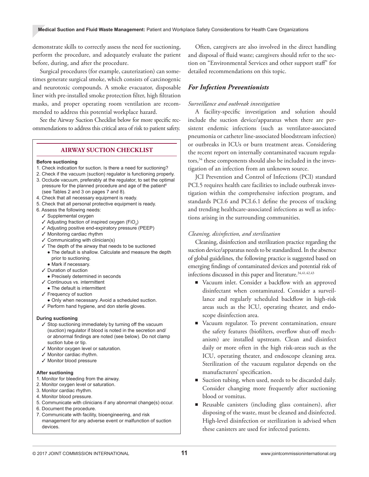demonstrate skills to correctly assess the need for suctioning, perform the procedure, and adequately evaluate the patient before, during, and after the procedure.

Surgical procedures (for example, cauterization) can sometimes generate surgical smoke, which consists of carcinogenic and neurotoxic compounds. A smoke evacuator, disposable liner with pre-installed smoke protection filter, high filtration masks, and proper operating room ventilation are recommended to address this potential workplace hazard.

See the Airway Suction Checklist below for more specific recommendations to address this critical area of risk to patient safety.

#### **AIRWAY SUCTION CHECKLIST**

#### **Before suctioning**

- 1. Check indication for suction. Is there a need for suctioning?
- 2. Check if the vacuum (suction) regulator is functioning properly.
- 3. Occlude vacuum, preferably at the regulator, to set the optimal pressure for the planned procedure and age of the patient<sup>6</sup> (see Tables 2 and 3 on pages 7 and 8).
- 4. Check that all necessary equipment is ready.
- 5. Check that all personal protective equipment is ready.
- 6. Assess the following needs:
	- ✓ Supplemental oxygen
	- $\checkmark$  Adjusting fraction of inspired oxygen (FiO<sub>2</sub>)
	- ✓ Adjusting positive end-expiratory pressure (PEEP)
	- ✓ Monitoring cardiac rhythm
	- $\checkmark$  Communicating with clinician(s)
	- $\checkmark$  The depth of the airway that needs to be suctioned ● The default is shallow. Calculate and measure the depth prior to suctioning.
		- Mark if necessary.
	- ✓ Duration of suction
	- Precisely determined in seconds
	- ✓ Continuous vs. intermittent
	- The default is intermittent
	- ✓ Frequency of suction
	- Only when necessary. Avoid a scheduled suction.
	- ✓ Perform hand hygiene, and don sterile gloves.

#### **During suctioning**

- ✓ Stop suctioning immediately by turning off the vacuum (suction) regulator if blood is noted in the secretion and/ or abnormal findings are noted (see below). Do not clamp suction tube or tip.
- ✓ Monitor oxygen level or saturation.
- ✓ Monitor cardiac rhythm.
- ✓ Monitor blood pressure

#### **After suctioning**

devices.

- 1. Monitor for bleeding from the airway.
- 2. Monitor oxygen level or saturation.
- 3. Monitor cardiac rhythm.
- 4. Monitor blood pressure.
- 5. Communicate with clinicians if any abnormal change(s) occur.
- 6. Document the procedure.
- 7. Communicate with facility, bioengineering, and risk management for any adverse event or malfunction of suction

Often, caregivers are also involved in the direct handling and disposal of fluid waste; caregivers should refer to the section on "Environmental Services and other support staff" for detailed recommendations on this topic.

#### *For Infection Preventionists*

#### *Surveillance and outbreak investigation*

A facility-specific investigation and solution should include the suction device/apparatus when there are persistent endemic infections (such as ventilator-associated pneumonia or catheter line-associated bloodstream infection) or outbreaks in ICUs or burn treatment areas. Considering the recent report on internally contaminated vacuum regulators,<sup>34</sup> these components should also be included in the investigation of an infection from an unknown source.

JCI Prevention and Control of Infections (PCI) standard PCI.5 requires health care facilities to include outbreak investigation within the comprehensive infection program, and standards PCI.6 and PCI.6.1 define the process of tracking and trending healthcare-associated infections as well as infections arising in the surrounding communities.

#### *Cleaning, disinfection, and sterilization*

Cleaning, disinfection and sterilization practice regarding the suction device/apparatus needs to be standardized. In the absence of global guidelines, the following practice is suggested based on emerging findings of contaminated devices and potential risk of infections discussed in this paper and literature.<sup>34,41,42,43</sup>

- Vacuum inlet. Consider a backflow with an approved disinfectant when contaminated. Consider a surveillance and regularly scheduled backflow in high-risk areas such as the ICU, operating theater, and endoscope disinfection area.
- Vacuum regulator. To prevent contamination, ensure the safety features (biofilters, overflow shut-off mechanism) are installed upstream. Clean and disinfect daily or more often in the high risk-areas such as the ICU, operating theater, and endoscope cleaning area. Sterilization of the vacuum regulator depends on the manufacturers' specification.
- Suction tubing, when used, needs to be discarded daily. Consider changing more frequently after suctioning blood or vomitus.
- Reusable canisters (including glass containers), after disposing of the waste, must be cleaned and disinfected. High-level disinfection or sterilization is advised when these canisters are used for infected patients.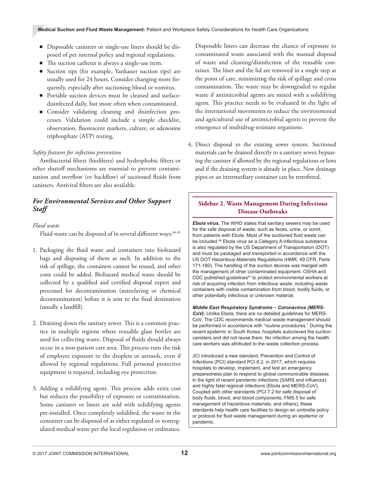- Disposable canisters or single-use liners should be disposed of per internal policy and regional regulations.
- The suction catheter is always a single-use item.
- Suction tips (for example, Yankauer suction tips) are usually used for 24 hours. Consider changing more frequently, especially after suctioning blood or vomitus.
- Portable suction devices must be cleaned and surfacedisinfected daily, but more often when contaminated.
- Consider validating cleaning and disinfection processes. Validation could include a simple checklist, observation, fluorescent markers, culture, or adenosine triphosphate (ATP) testing.

#### *Safety features for infection prevention*

Antibacterial filters (biofilters) and hydrophobic filters or other shutoff mechanisms are essential to prevent contamination and overflow (or backflow) of suctioned fluids from canisters. Antiviral filters are also available.

# *For Environmental Services and Other Support Staff*

#### *Fluid waste*

Fluid waste can be disposed of in several different ways: 44,45

- 1. Packaging the fluid waste and containers into biohazard bags and disposing of them as such. In addition to the risk of spillage, the containers cannot be reused, and other costs could be added. Biohazard medical waste should be collected by a qualified and certified disposal expert and processed for decontamination (autoclaving or chemical decontamination) before it is sent to the final destination (usually a landfill).
- 2. Draining down the sanitary sewer. This is a common practice in multiple regions where reusable glass bottles are used for collecting waste. Disposal of fluids should always occur in a non-patient care area. This process runs the risk of employee exposure to the droplets or aerosols, even if allowed by regional regulations. Full personal protective equipment is required, including eye protection.
- 3. Adding a solidifying agent. This process adds extra cost but reduces the possibility of exposure or contamination. Some canisters or liners are sold with solidifying agents pre-installed. Once completely solidified, the waste in the container can be disposed of as either regulated or nonregulated medical waste per the local regulation or ordinance.

Disposable liners can decrease the chance of exposure to contaminated waste associated with the manual disposal of waste and cleaning/disinfection of the reusable container. The liner and the lid are removed in a single step at the point of care, minimizing the risk of spillage and cross contamination. The waste may be downgraded to regular waste if antimicrobial agents are mixed with a solidifying agent. This practice needs to be evaluated in the light of the international movements to reduce the environmental and agricultural use of antimicrobial agents to prevent the emergence of multidrug-resistant organisms.

4. Direct disposal to the existing sewer system. Suctioned materials can be drained directly to a sanitary sewer, bypassing the canister if allowed by the regional regulations or laws and if the draining system is already in place. New drainage pipes or an intermediary container can be retrofitted.

# **Sidebar 2. Waste Management During Infectious Disease Outbreaks**

*Ebola virus.* The WHO states that sanitary sewers may be used for the safe disposal of waste, such as feces, urine, or vomit, from patients with Ebola. Most of the suctioned fluid waste can be included.<sup>46</sup> Ebola virus as a Category A infectious substance is also regulated by the US Department of Transportation (DOT) and must be packaged and transported in accordance with the US DOT Hazardous Materials Regulations (HMR, 49 CFR, Parts 171-180). The handling of the suction devices was merged with the management of other contaminated equipment. OSHA and CDC published guidelines<sup>47</sup> to protect environmental workers at risk of acquiring infection from infectious waste, including waste containers with visible contamination from blood, bodily fluids, or other potentially infectious or unknown material.

*Middle East Respiratory Syndrome – Coronavirus (MERS-CoV).* Unlike Ebola, there are no detailed guidelines for MERS-CoV. The CDC recommends medical waste management should be performed in accordance with "routine procedures." During the recent epidemic in South Korea, hospitals autoclaved the suction canisters and did not reuse them. No infection among the health care workers was attributed to the waste collection process.

JCI introduced a new standard, Prevention and Control of Infections (PCI) standard PCI.8.2, in 2017, which requires hospitals to develop, implement, and test an emergency preparedness plan to respond to global communicable diseases in the light of recent pandemic infections (SARS and influenza) and highly fatal regional infections (Ebola and MERS-CoV). Coupled with other standards (PCI.7.2 for safe disposal of body fluids, blood, and blood components; FMS.5 for safe management of hazardous materials; and others), these standards help health care facilities to design an umbrella policy or protocol for fluid waste management during an epidemic or pandemic.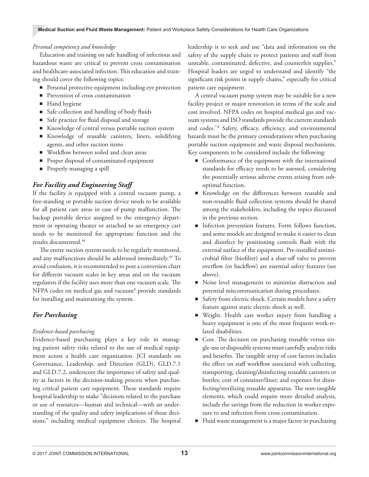#### *Personal competency and knowledge*

Education and training on safe handling of infectious and hazardous waste are critical to prevent cross contamination and healthcare-associated infection. This education and training should cover the following topics:

- Personal protective equipment including eye protection
- Prevention of cross contamination
- Hand hygiene
- Safe collection and handling of body fluids
- Safe practice for fluid disposal and storage
- Knowledge of central versus portable suction system
- Knowledge of reusable canisters, liners, solidifying agents, and other suction items
- Workflow between soiled and clean areas
- Proper disposal of contaminated equipment
- Properly managing a spill

# *For Facility and Engineering Staff*

If the facility is equipped with a central vacuum pump, a free-standing or portable suction device needs to be available for all patient care areas in case of pump malfunction. The backup portable device assigned to the emergency department or operating theater or attached to an emergency cart needs to be monitored for appropriate function and the results documented.48

The entire suction system needs to be regularly monitored, and any malfunctions should be addressed immediately.<sup>49</sup> To avoid confusion, it is recommended to post a conversion chart for different vacuum scales in key areas and on the vacuum regulators if the facility uses more than one vacuum scale. The NFPA codes on medical gas and vacuum<sup>8</sup> provide standards for installing and maintaining the system.

# *For Purchasing*

#### *Evidence-based purchasing*

Evidence-based purchasing plays a key role in managing patient safety risks related to the use of medical equipment across a health care organization. JCI standards on Governance, Leadership, and Direction (GLD), GLD.7.1 and GLD.7.2, underscore the importance of safety and quality as factors in the decision-making process when purchasing critical patient care equipment. These standards require hospital leadership to make "decisions related to the purchase or use of resources—human and technical—with an understanding of the quality and safety implications of those decisions," including medical equipment choices. The hospital

leadership is to seek and use "data and information on the safety of the supply chain to protect patients and staff from unstable, contaminated, defective, and counterfeit supplies." Hospital leaders are urged to understand and identify "the significant risk points in supply chains," especially for critical patient care equipment.

A central vacuum pump system may be suitable for a new facility project or major renovation in terms of the scale and cost involved. NFPA codes on hospital medical gas and vacuum systems and ISO standards provide the current standards and codes.7,8 Safety, efficacy, efficiency, and environmental hazards must be the primary considerations when purchasing portable suction equipment and waste disposal mechanisms. Key components to be considered include the following:

- Conformance of the equipment with the international standards for efficacy needs to be assessed, considering the potentially serious adverse events arising from suboptimal function.
- Knowledge on the differences between reusable and non-reusable fluid collection systems should be shared among the stakeholders, including the topics discussed in the previous section.
- Infection prevention features. Form follows function, and some models are designed to make it easier to clean and disinfect by positioning controls flush with the external surface of the equipment. Pre-installed antimicrobial filter (biofilter) and a shut-off valve to prevent overflow (or backflow) are essential safety features (see above).
- Noise level management to minimize distraction and potential miscommunication during procedures.
- Safety from electric shock. Certain models have a safety feature against static electric shock as well.
- Weight. Health care worker injury from handling a heavy equipment is one of the most frequent work-related disabilities.
- Cost. The decision on purchasing reusable versus single-use or disposable systems must carefully analyze risks and benefits. The tangible array of cost factors includes the effect on staff workflow associated with collecting, transporting, cleaning/disinfecting reusable canisters or bottles; cost of container/liner; and expenses for disinfecting/sterilizing reusable apparatus. The non-tangible elements, which could require more detailed analysis, include the savings from the reduction in worker exposure to and infection from cross contamination.
- Fluid waste management is a major factor in purchasing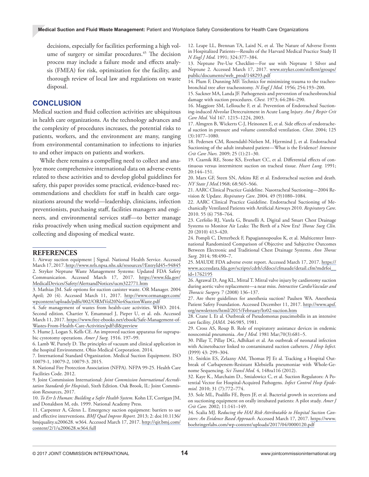decisions, especially for facilities performing a high volume of surgery or similar procedures.<sup>45</sup> The decision process may include a failure mode and effects analysis (FMEA) for risk, optimization for the facility, and thorough review of local law and regulations on waste disposal.

#### **CONCLUSION**

Medical suction and fluid collection activities are ubiquitous in health care organizations. As the technology advances and the complexity of procedures increases, the potential risks to patients, workers, and the environment are many, ranging from environmental contamination to infections to injuries to and other impacts on patients and workers.

While there remains a compelling need to collect and analyze more comprehensive international data on adverse events related to these activities and to develop global guidelines for safety, this paper provides some practical, evidence-based recommendations and checklists for staff in health care organizations around the world—leadership, clinicians, infection preventionists, purchasing staff, facilities managers and engineers, and environmental services staff—to better manage risks proactively when using medical suction equipment and collecting and disposing of medical waste.

#### **REFERENCES**

1. Airway suction equipment | Signal. National Health Service. Accessed March 17, 2017. [http://www.nrls.npsa.nhs.uk/resources/?EntryId45=94845](http://www.nrls.npsa.nhs.uk/resources/?EntryId45=94845 ) 2. Stryker Neptune Waste Management Systems: Updated FDA Safety Communication. Accessed March 17, 2017. [https://www.fda.gov/](https://www.fda.gov/MedicalDevices/Safety/AlertsandNotices/ucm322771.htm) [MedicalDevices/Safety/AlertsandNotices/ucm322771.htm](https://www.fda.gov/MedicalDevices/Safety/AlertsandNotices/ucm322771.htm)

3. Mathias JM. Safe options for suction canister waste. OR Manager. 2004 April; 20 (4). Accessed March 11, 2017. [http://www.ormanager.com/](http://www.ormanager.com/wpcontent/uploads/pdfx/002/ORMVol20No4SuctionWaste.pdf) [wpcontent/uploads/pdfx/002/ORMVol20No4SuctionWaste.pdf](http://www.ormanager.com/wpcontent/uploads/pdfx/002/ORMVol20No4SuctionWaste.pdf)

4. Safe management of wastes from health-care activities. WHO. 2014. Second edition. Chartier Y, Emamnuel J, Pieper U, et al. eds. Accessed March 11, 2017. [https://www.free-ebooks.net/ebook/Safe-Management-of-](https://www.free-ebooks.net/ebook/Safe-Management-of-Wastes-From-Health-Care-Activities/pdf?dl&previ)[Wastes-From-Health-Care-Activities/pdf?dl&preview](https://www.free-ebooks.net/ebook/Safe-Management-of-Wastes-From-Health-Care-Activities/pdf?dl&previ)

5. Hume J, Logan S, Kells CE. An improved suction apparatus for suprapubic cystotomy operations. *Amer J Surg.* 1916. 197–99.

6. Lamb W, Pursely D. The principles of vacuum and clinical application in the hospital Environment. Ohio Medical Corporation. 2014.

7. International Standard Organization. Medical Suction Equipment. ISO 10079-1, 10079-2, 10079-3. 2015.

8. National Fire Protection Association (NFPA). NFPA 99-25. Health Care Facilities Code. 2012.

9. Joint Commission International: *Joint Commission International Accreditation Standards for Hospitals*, Sixth Edition. Oak Brook, IL: Joint Commission Resources, 2017.

10. *To Err Is Human: Building a Safer Health System*. Kohn LT, Corrigan JM, and Donaldson M, eds. 1999. National Academy Press.

11. Carpenter A, Glenn L. Emergency suction equipment: barriers to use and effective interventions. *BMJ Qual Improv Report.* 2013; 2: doi:10.1136/ bmjquality.u200628. w364. Accessed March 17, 2017. [http://qir.bmj.com/](http://qir.bmj.com/content/2/1/u200628.w364.full) [content/2/1/u200628.w364.full](http://qir.bmj.com/content/2/1/u200628.w364.full)

12. Leape LL, Brennan TA, Laird N, et al. The Nature of Adverse Events in Hospitalized Patients—Results of the Harvard Medical Practice Study II *N Engl J Med.* 1991; 324:377–384.

13. Neptune Pre-Use Checklist—For use with Neptune 1 Silver and Neptune 2. Accessed March 17, 2017. [www.stryker.com/stellent/groups/](http://www.stryker.com/stellent/groups/public/documents/web_prod/148293.pdf) [public/documents/web\\_prod/148293.pdf](http://www.stryker.com/stellent/groups/public/documents/web_prod/148293.pdf)

14. Plum F, Dunning MF. Technics for minimizing trauma to the tracheobronchial tree after tracheostomy. *N Engl J Med.* 1956; 254:193–200.

15. Sackner MA, Landa JF. Pathogenesis and prevention of tracheobronchial damage with suction procedures. *Chest.* 1973; 64:284–290.

16. Maggiore SM, Lellouche F, et al. Prevention of Endotracheal Suctioning-induced Alveolar Derecruitment in Acute Lung Injury. *Am J Respir Crit Care Med.* Vol 167. 1215–1224, 2003.

17. Almgren B, Wickerts C-J, Heinonen E, et al. Side effects of endotracheal suction in pressure and volume controlled ventilation. *Chest*. 2004; 125 (3):1077–1080.

18. Pedersen CM, Rosendahl-Nielsen M, Hjermind J, et al. Endotracheal Suctioning of the adult intubated patient—What is the Evidence? *Intensive Crit Care Nurs.* 2009; 25 (1):21–30.

19. Czarnik RE, Stone KS, Everhart CC, et al. Differential effects of continuous versus intermittent suction on tracheal tissue. *Heart Lung.* 1991; 20:144–151.

20. Marx GF, Steen SN, Arkins RE et al. Endotracheal suction and death. *NY State J Med*.1968; 68:565–566.

21. AARC Clinical Practice Guideline. Nasotracheal Suctioning—2004 Revision & Update. *Respiratory Care*. 2004. 49 (9)1080–1084.

22. AARC Clinical Practice Guideline. Endotracheal Suctioning of Mechanically Ventilated Patients with Artificial Airways 2010. *Respiratory Care*. 2010. 55 (6) 758–764.

23. Cerfolio RJ, Varela G, Brunelli A. Digital and Smart Chest Drainage Systems to Monitor Air Leaks: The Birth of a New Era? *Thorac Surg Clin.*  20 (2010) 413–420.

24. Pompli C, Detterbeck F, Papagiannopoulos K, et al. Multicenter International Randomized Comparison of Objective and Subjective Outcomes Between Electronic and Traditional Chest Drainage Systems. *Ann Thorac Surg.* 2014; 98:490–7.

25. MAUDE FDA adverse event report. Accessed March 17, 2017. [https://](https://www.accessdata.fda.gov/scripts/cdrh/cfdocs/cfmaude/detail.cfm?mdrfoi__id=1762195) [www.accessdata.fda.gov/scripts/cdrh/cfdocs/cfmaude/detail.cfm?mdrfoi\\_\\_](https://www.accessdata.fda.gov/scripts/cdrh/cfdocs/cfmaude/detail.cfm?mdrfoi__id=1762195) [id=1762195](https://www.accessdata.fda.gov/scripts/cdrh/cfdocs/cfmaude/detail.cfm?mdrfoi__id=1762195)

26. Agrawal D, Ang KL, Mittal T. Mitral valve injury by cardiotomy suction during aortic valve replacement—a near miss. *Interactive CardioVascular and Thoracic Surgery.* 7 (2008) 136–137.

27. Are there guidelines for anesthesia suction? Paulsen WA. Anesthesia Patient Safety Foundation. Accessed December 11, 2017. [http://www.apsf.](http://www.apsf.org/newsletters/html/2015/February/ltr02-suction.htm) [org/newsletters/html/2015/February/ltr02-suction.htm](http://www.apsf.org/newsletters/html/2015/February/ltr02-suction.htm)

28. Crane L Et al. Outbreak of Pseudomonas paucimobilis in an intensive care facility. *JAMA.* 246:985, 1981.

29. Cross AS, Roup B. Role of respiratory assistance devices in endemic nosocomial pneumonia. *Am J Med.* 1981 Mar;70(3):681–5.

30. Pillay T, Pillay DG, Adhikari et al. An outbreak of neonatal infection with Acinetobacter linked to contaminated suction catheters. *J Hosp lnfect.*  (I999) 43: 299–304.

31. Snitkin ES, Zelazny AM, Thomas PJ Et al. Tracking a Hospital Outbreak of Carbapenem-Resistant Klebsiella pneumoniae with Whole-Genome Sequencing. *Sci Transl Med.* 4, 148ra116 (2012).

32. Kaye K., Marchaim D., Smialowicz C, et al. Suction Regulators: A Potential Vector for Hospital‐Acquired Pathogens. *Infect Control Hosp Epidemiol.* 2010; 31 (7):772–774.

33. Sole ML, Poalillo FE, Byers JF, et al. Bacterial growth in secretions and on suctioning equipment on orally intubated patients: A pilot study. *Amer J Crit Care.* 2002; 11:141–149.

34. Scalia MJ. R*educing the HAI Risk Attributable to Hospital Suction Canisters: An Evidence Based Approach*. Accessed March 17, 2017. [https://www.](https://www.boehringerlabs.com/wp-content/uploads/2017/04/0000120.pdf) [boehringerlabs.com/wp-content/uploads/2017/04/0000120.pdf](https://www.boehringerlabs.com/wp-content/uploads/2017/04/0000120.pdf)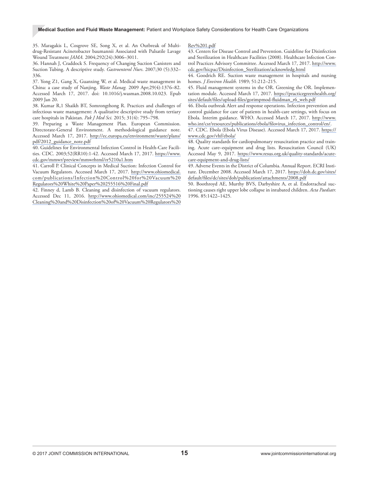#### **Medical Suction and Fluid Waste Management:** Patient and Workplace Safety Considerations for Health Care Organizations

35. Maragakis L, Cosgrove SE, Song X, et al. An Outbreak of Multidrug-Resistant Acinetobacter baumannii Associated with Pulsatile Lavage Wound Treatment *JAMA.* 2004;292(24):3006–3011.

36. Hannah J, Craddock S. Frequency of Changing Suction Canisters and Suction Tubing. A descriptive study. *Gastroenterol Nurs*. 2007;30 (5):332– 336.

37. Yong Z1, Gang X, Guanxing W, et al. Medical waste management in China: a case study of Nanjing. *Waste Manag.* 2009 Apr;29(4):1376–82. Accessed March 17, 2017. doi: 10.1016/j.wasman.2008.10.023. Epub 2009 Jan 20.

38. Kumar R,1 Shaikh BT, Somrongthong R. Practices and challenges of infectious waste management: A qualitative descriptive study from tertiary care hospitals in Pakistan. *Pak J Med Sci.* 2015; 31(4): 795–798.

39. Preparing a Waste Management Plan. European Commission. Directorate-General Environment. A methodological guidance note. Accessed March 17, 2017. [http://ec.europa.eu/environment/waste/plans/](http://ec.europa.eu/environment/waste/plans/pdf/2012_guidance_note.pdf) [pdf/2012\\_guidance\\_note.pdf](http://ec.europa.eu/environment/waste/plans/pdf/2012_guidance_note.pdf)

40. Guidelines for Environmental Infection Control in Health-Care Facilities. CDC. 2003;52(RR10):1-42. Accessed March 17, 2017. [https://www.](https://www.cdc.gov/mmwr/preview/mmwrhtml/rr5210a1.htm) [cdc.gov/mmwr/preview/mmwrhtml/rr5210a1.htm](https://www.cdc.gov/mmwr/preview/mmwrhtml/rr5210a1.htm)

41. Carroll P. Clinical Concepts in Medical Suction: Infection Control for Vacuum Regulators. Accessed March 17, 2017. [http://www.ohiomedical.](http://www.ohiomedical.com/publications/Infection%20Control%20for%20Vacuum%20Regulators%20White%20Pa) [com/publications/Infection%20Control%20for%20Vacuum%20](http://www.ohiomedical.com/publications/Infection%20Control%20for%20Vacuum%20Regulators%20White%20Pa) [Regulators%20White%20Paper%20255516%20Final.pdf](http://www.ohiomedical.com/publications/Infection%20Control%20for%20Vacuum%20Regulators%20White%20Pa)

42. Finney d, Lamb B. Cleaning and disinfection of vacuum regulators. Accessed Dec 11, 2016. [http://www.ohiomedical.com/inc/255524%20](http://www.ohiomedical.com/inc/255524%20Cleaning%20and%20Disinfection%20of%20Vacuum%20Regulators%20R) [Cleaning%20and%20Disinfection%20of%20Vacuum%20Regulators%20](http://www.ohiomedical.com/inc/255524%20Cleaning%20and%20Disinfection%20of%20Vacuum%20Regulators%20R) [Rev%201.pdf](http://www.ohiomedical.com/inc/255524%20Cleaning%20and%20Disinfection%20of%20Vacuum%20Regulators%20R)

43. Centers for Disease Control and Prevention. Guideline for Disinfection and Sterilization in Healthcare Facilities (2008). Healthcare Infection Control Practices Advisory Committee. Accessed March 17, 2017. [http://www.](http://www.cdc.gov/hicpac/Disinfection_Sterilization/acknowledg.html) [cdc.gov/hicpac/Disinfection\\_Sterilization/acknowledg.html](http://www.cdc.gov/hicpac/Disinfection_Sterilization/acknowledg.html)

44. Goodrich RE. Suction waste management in hospitals and nursing homes. *J Environ Health.* 1989; 51:212–215.

45. Fluid management systems in the OR. Greening the OR. Implementation module. Accessed March 17, 2017. [https://practicegreenhealth.org/](https://practicegreenhealth.org/sites/default/files/upload-files/gorimpmod-fluidman_r6_web.pdf) [sites/default/files/upload-files/gorimpmod-fluidman\\_r6\\_web.pdf](https://practicegreenhealth.org/sites/default/files/upload-files/gorimpmod-fluidman_r6_web.pdf)

46. Ebola outbreak Alert and response operations. Infection prevention and control guidance for care of patients in health-care settings, with focus on Ebola. Interim guidance. WHO. Accessed March 17, 2017. [http://www.](http://www.who.int/csr/resources/publications/ebola/filovirus_infection_control/en/) [who.int/csr/resources/publications/ebola/filovirus\\_infection\\_control/en/](http://www.who.int/csr/resources/publications/ebola/filovirus_infection_control/en/).

47. CDC. Ebola (Ebola Virus Disease). Accessed March 17, 2017. [https://](https://www.cdc.gov/vhf/ebola/) [www.cdc.gov/vhf/ebola/](https://www.cdc.gov/vhf/ebola/)

48. Quality standards for cardiopulmonary resuscitation practice and training. Acute care–equipment and drug lists. Resuscitation Council (UK) Accessed May 9, 2017. [https://www.resus.org.uk/quality-standards/acute](https://www.resus.org.uk/quality-standards/acute-care-equipment-and-drug-lists/)[care-equipment-and-drug-lists/](https://www.resus.org.uk/quality-standards/acute-care-equipment-and-drug-lists/)

49. Adverse Events in the District of Columbia. Annual Report. ECRI Institute. December 2008. Accessed March 17, 2017. [https://doh.dc.gov/sites/](https://doh.dc.gov/sites/default/files/dc/sites/doh/publication/attachments/2008.pdf) [default/files/dc/sites/doh/publication/attachments/2008.pdf](https://doh.dc.gov/sites/default/files/dc/sites/doh/publication/attachments/2008.pdf)

50. Boothroyd AE, Murthy BVS, Darbyshire A, et al. Endotracheal suctioning causes right upper lobe collapse in intubated children. *Acta Paediatr.*  1996. 85:1422–1425.